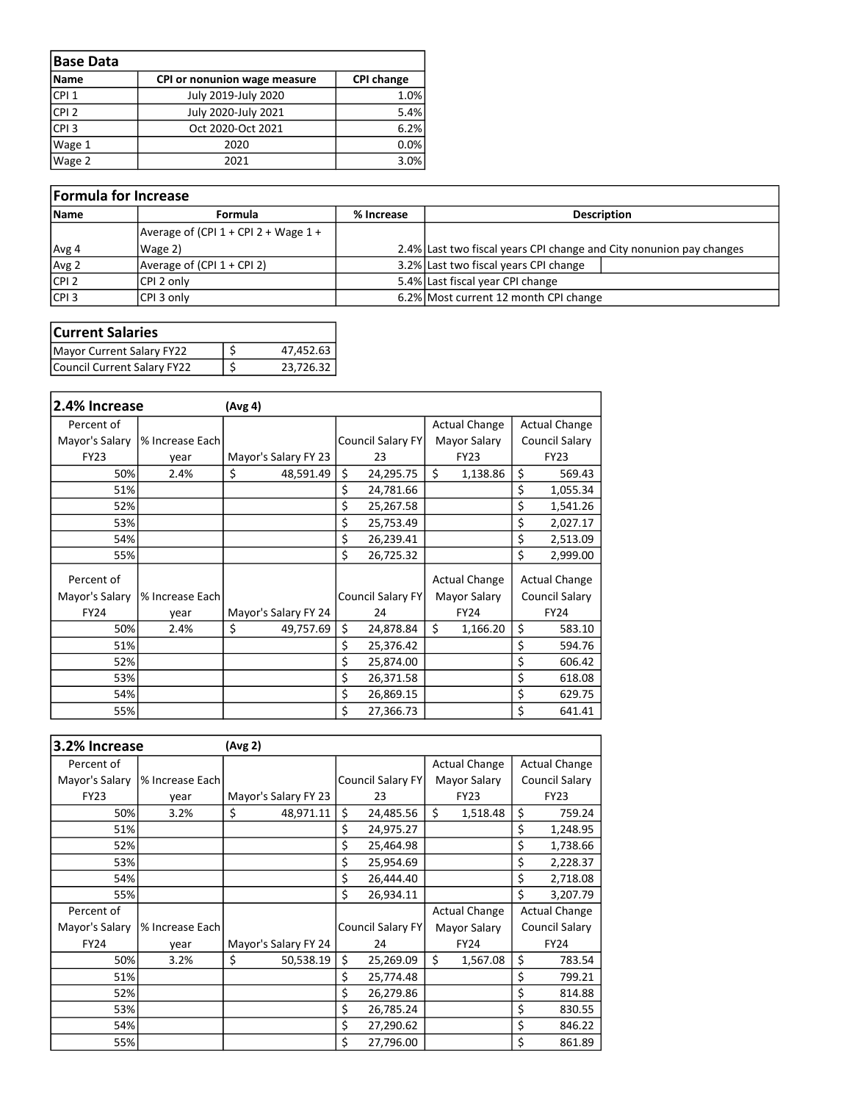| <b>Base Data</b> |                              |                   |
|------------------|------------------------------|-------------------|
| <b>Name</b>      | CPI or nonunion wage measure | <b>CPI change</b> |
| CPI <sub>1</sub> | July 2019-July 2020          | 1.0%              |
| CPI <sub>2</sub> | July 2020-July 2021          | 5.4%              |
| CPI <sub>3</sub> | Oct 2020-Oct 2021            | 6.2%              |
| Wage 1           | 2020                         | 0.0%              |
| Wage 2           | 2021                         | 3.0%              |

| Formula for Increase |                                            |            |                                                                     |  |  |  |  |  |  |
|----------------------|--------------------------------------------|------------|---------------------------------------------------------------------|--|--|--|--|--|--|
| <b>Name</b>          | Formula                                    | % Increase | <b>Description</b>                                                  |  |  |  |  |  |  |
|                      | Average of (CPI $1 +$ CPI $2 +$ Wage $1 +$ |            |                                                                     |  |  |  |  |  |  |
| Avg 4                | Wage 2)                                    |            | 2.4% Last two fiscal years CPI change and City nonunion pay changes |  |  |  |  |  |  |
| Avg 2                | Average of $(CPI 1 + CPI 2)$               |            | 3.2% Last two fiscal years CPI change                               |  |  |  |  |  |  |
| $ $ CPI 2            | CPI 2 only                                 |            | 5.4% Last fiscal year CPI change                                    |  |  |  |  |  |  |
| $ $ CPI 3            | CPI 3 only                                 |            | 6.2% Most current 12 month CPI change                               |  |  |  |  |  |  |

| <b>Current Salaries</b>     |           |
|-----------------------------|-----------|
| Mayor Current Salary FY22   | 47,452.63 |
| Council Current Salary FY22 | 23,726.32 |

| 2.4% Increase  |                 | (Avg 4)              |                          |                      |              |                |                      |
|----------------|-----------------|----------------------|--------------------------|----------------------|--------------|----------------|----------------------|
| Percent of     |                 |                      |                          | <b>Actual Change</b> |              |                | <b>Actual Change</b> |
| Mayor's Salary | % Increase Each |                      | Council Salary FY        |                      | Mayor Salary | Council Salary |                      |
| <b>FY23</b>    | year            | Mayor's Salary FY 23 | 23                       |                      | <b>FY23</b>  |                | <b>FY23</b>          |
| 50%            | 2.4%            | \$<br>48,591.49      | \$<br>24,295.75          | Ś.                   | 1,138.86     | \$             | 569.43               |
| 51%            |                 |                      | \$<br>24,781.66          |                      |              | \$             | 1,055.34             |
| 52%            |                 |                      | \$<br>25,267.58          |                      |              | \$             | 1,541.26             |
| 53%            |                 |                      | \$<br>25,753.49          |                      |              | \$             | 2,027.17             |
| 54%            |                 |                      | \$<br>26,239.41          |                      |              | \$             | 2,513.09             |
| 55%            |                 |                      | \$<br>26,725.32          |                      |              | \$             | 2,999.00             |
| Percent of     |                 |                      |                          | <b>Actual Change</b> |              |                | <b>Actual Change</b> |
| Mayor's Salary | % Increase Each |                      | <b>Council Salary FY</b> |                      | Mayor Salary |                | Council Salary       |
| <b>FY24</b>    | year            | Mayor's Salary FY 24 | 24                       |                      | <b>FY24</b>  |                | <b>FY24</b>          |
| 50%            | 2.4%            | \$<br>49,757.69      | \$<br>24,878.84          | Ś.                   | 1,166.20     | \$             | 583.10               |
| 51%            |                 |                      | \$<br>25,376.42          |                      |              | \$             | 594.76               |
| 52%            |                 |                      | \$<br>25,874.00          |                      |              | \$             | 606.42               |
| 53%            |                 |                      | \$<br>26,371.58          |                      |              | \$             | 618.08               |
| 54%            |                 |                      | \$<br>26,869.15          |                      |              | \$             | 629.75               |
| 55%            |                 |                      | \$<br>27,366.73          |                      |              | \$             | 641.41               |

| 3.2% Increase<br>(Avg 2) |                 |                      |    |                                          |                      |              |                |                      |
|--------------------------|-----------------|----------------------|----|------------------------------------------|----------------------|--------------|----------------|----------------------|
| Percent of               |                 |                      |    |                                          | <b>Actual Change</b> |              |                | <b>Actual Change</b> |
| Mayor's Salary           | % Increase Each |                      |    | <b>Council Salary FY</b>                 |                      | Mayor Salary | Council Salary |                      |
| <b>FY23</b>              | year            | Mayor's Salary FY 23 |    | 23                                       | <b>FY23</b>          |              | <b>FY23</b>    |                      |
| 50%                      | 3.2%            | \$<br>48,971.11      | \$ | 24,485.56                                | \$                   | 1,518.48     | \$             | 759.24               |
| 51%                      |                 |                      | \$ | 24,975.27                                |                      |              | \$             | 1,248.95             |
| 52%                      |                 |                      | \$ | 25,464.98                                |                      |              | \$             | 1,738.66             |
| 53%                      |                 |                      | \$ | 25,954.69                                |                      |              | \$             | 2,228.37             |
| 54%                      |                 |                      | \$ | 26,444.40                                |                      |              | \$             | 2,718.08             |
| 55%                      |                 |                      | \$ | 26,934.11                                |                      |              | \$             | 3,207.79             |
| Percent of               |                 |                      |    |                                          | <b>Actual Change</b> |              |                | <b>Actual Change</b> |
| Mayor's Salary           | % Increase Each |                      |    | <b>Council Salary FY</b><br>Mayor Salary |                      |              |                | Council Salary       |
| <b>FY24</b>              | year            | Mayor's Salary FY 24 | 24 |                                          |                      | <b>FY24</b>  |                | <b>FY24</b>          |
| 50%                      | 3.2%            | \$<br>50,538.19      | \$ | 25,269.09                                | \$                   | 1,567.08     | \$             | 783.54               |
| 51%                      |                 |                      | \$ | 25,774.48                                |                      |              | \$             | 799.21               |
| 52%                      |                 |                      | \$ | 26,279.86                                |                      |              | \$             | 814.88               |
| 53%                      |                 |                      | \$ | 26,785.24                                |                      |              | \$             | 830.55               |
| 54%                      |                 |                      | \$ | 27,290.62                                |                      |              | \$             | 846.22               |
| 55%                      |                 |                      | \$ | 27,796.00                                |                      |              | \$             | 861.89               |